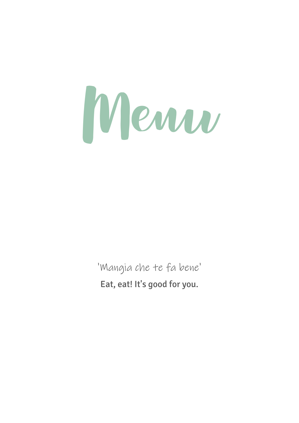Menu

'Mangia che te fa bene 'Eat, eat! It's good for you.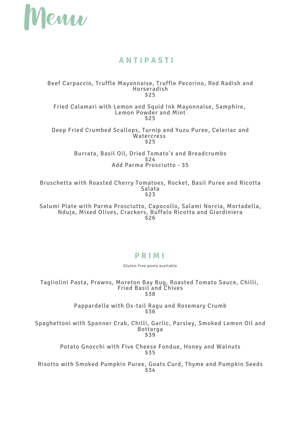

## **A N T I P A S T I**

#### Beef Carpaccio, Truffle Mayonnaise, Truffle Pecorino, Red Radish and Horseradish \$25

Fried Calamari with Lemon and Squid Ink Mayonnaise, Samphire, Lemon Powder and Mint \$25

Deep Fried Crumbed Scallops, Turnip and Yuzu Puree, Celeriac and **Watercress** \$25

> Burrata, Basil Oil, Dried Tomato's and Breadcrumbs \$24 Add Parma Prosciutto - \$5

Bruschetta with Roasted Cherry Tomatoes, Rocket, Basil Puree and Ricotta Salata \$23

Salumi Plate with Parma Prosciutto, Capocollo, Salami Norcia, Mortadella, Nduja, Mixed Olives, Crackers, Buffalo Ricotta and Giardiniera \$26

### **P R I M I**

Gluten-free pasta available

Tagliolini Pasta, Prawns, Moreton Bay Bug, Roasted Tomato Sauce, Chilli, Fried Basil and Chives \$38

> Pappardelle with Ox-tail Ragu and Rosemary Crumb \$36

Spaghettoni with Spanner Crab, Chilli, Garlic, Parsley, Smoked Lemon Oil and Bottarga \$39

> Potato Gnocchi with Five Cheese Fondue, Honey and Walnuts \$35

Risotto with Smoked Pumpkin Puree, Goats Curd, Thyme and Pumpkin Seeds \$34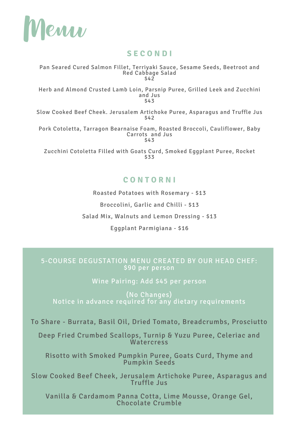

## **S E C O N D I**

Pan Seared Cured Salmon Fillet, Terriyaki Sauce, Sesame Seeds, Beetroot and Red Cabbage Salad \$42

Herb and Almond Crusted Lamb Loin, Parsnip Puree, Grilled Leek and Zucchini and Jus \$43

Slow Cooked Beef Cheek. Jerusalem Artichoke Puree, Asparagus and Truffle Jus \$42

Pork Cotoletta, Tarragon Bearnaise Foam, Roasted Broccoli, Cauliflower, Baby Carrots and Jus \$43

Zucchini Cotoletta Filled with Goats Curd, Smoked Eggplant Puree, Rocket \$33

## **C O N T O R N I**

Roasted Potatoes with Rosemary - \$13

Broccolini, Garlic and Chilli - \$13

Salad Mix, Walnuts and Lemon Dressing - \$13

Eggplant Parmigiana - \$16

### 5-COURSE DEGUSTATION MENU CREATED BY OUR HEAD CHEF: \$90 per person

Wine Pairing: Add \$45 per person

(No Changes) Notice in advance required for any dietary requirements

To Share - Burrata, Basil Oil, Dried Tomato, Breadcrumbs, Prosciutto

Deep Fried Crumbed Scallops, Turnip & Yuzu Puree, Celeriac and **Watercress** 

Risotto with Smoked Pumpkin Puree, Goats Curd, Thyme and Pumpkin Seeds

Slow Cooked Beef Cheek, Jerusalem Artichoke Puree, Asparagus and Truffle Jus

Vanilla & Cardamom Panna Cotta, Lime Mousse, Orange Gel, Chocolate Crumble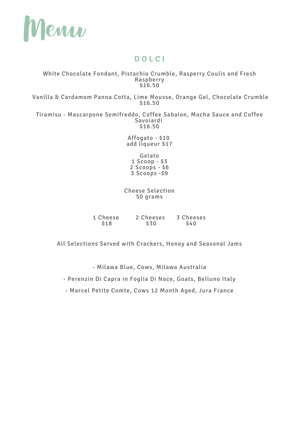

## **D O L C I**

#### White Chocolate Fondant, Pistachio Crumble, Rasperry Coulis and Fresh Raspberry \$16.50

Vanilla & Cardamom Panna Cotta, Lime Mousse, Orange Gel, Chocolate Crumble \$16.50

Tiramisu - Mascarpone Semifreddo, Coffee Sabaion, Mocha Sauce and Coffee Savoiardi \$16.50

> Affogato - \$10 add liqueur \$17

Gelato Scoop - \$3 Scoops - \$6 Scoops -\$9

Cheese Selection 50 grams

| 1 Cheese | 2 Cheeses  | 3 Cheeses  |
|----------|------------|------------|
| \$18     | <b>S30</b> | <b>S40</b> |

All Selections Served with Crackers, Honey and Seasonal Jams

- Milawa Blue, Cows, Milawa Australia

- Perenzin Di Capra in Foglia Di Noce, Goats, Belluno Italy

- Marcel Petite Comte, Cows 12 Month Aged, Jura France